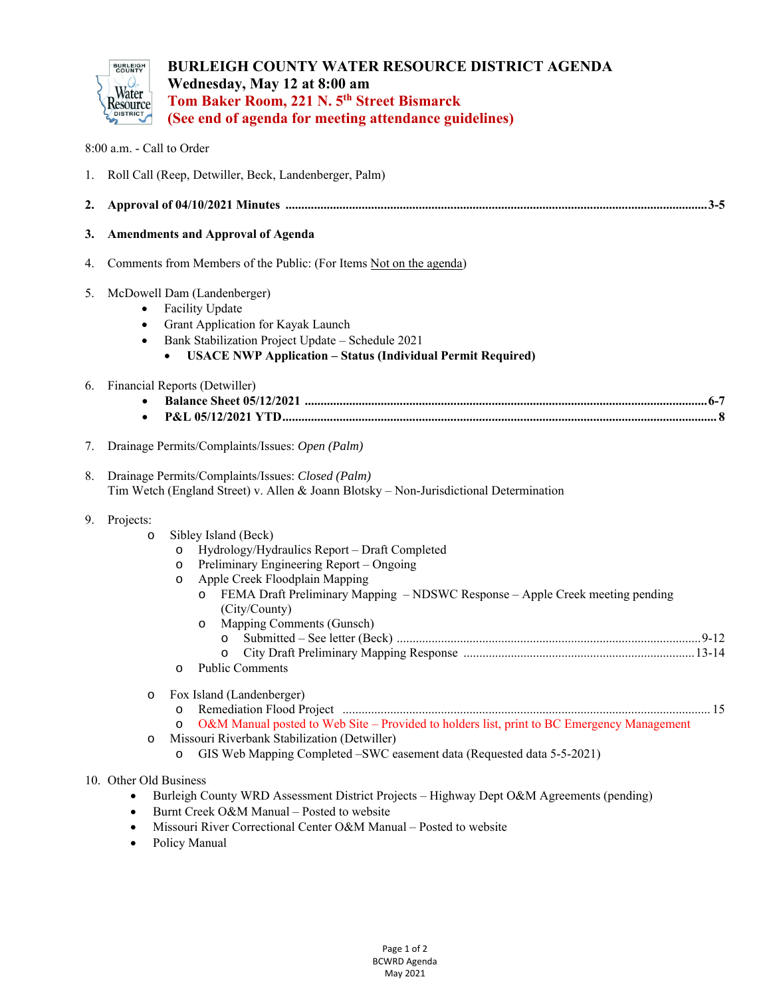

8:00 a.m. - Call to Order

## **BURLEIGH COUNTY WATER RESOURCE DISTRICT AGENDA Wednesday, May 12 at 8:00 am Tom Baker Room, 221 N. 5th Street Bismarck (See end of agenda for meeting attendance guidelines)**

|    | 1. Roll Call (Reep, Detwiller, Beck, Landenberger, Palm)                                                                                                                                                                                                                                                                                                                                                           |
|----|--------------------------------------------------------------------------------------------------------------------------------------------------------------------------------------------------------------------------------------------------------------------------------------------------------------------------------------------------------------------------------------------------------------------|
| 2. |                                                                                                                                                                                                                                                                                                                                                                                                                    |
| 3. | <b>Amendments and Approval of Agenda</b>                                                                                                                                                                                                                                                                                                                                                                           |
| 4. | Comments from Members of the Public: (For Items Not on the agenda)                                                                                                                                                                                                                                                                                                                                                 |
| 5. | McDowell Dam (Landenberger)<br>Facility Update<br>$\bullet$<br>Grant Application for Kayak Launch<br>Bank Stabilization Project Update - Schedule 2021<br><b>USACE NWP Application - Status (Individual Permit Required)</b><br>$\bullet$                                                                                                                                                                          |
| 6. | Financial Reports (Detwiller)<br>$\bullet$                                                                                                                                                                                                                                                                                                                                                                         |
| 7. | Drainage Permits/Complaints/Issues: Open (Palm)                                                                                                                                                                                                                                                                                                                                                                    |
| 8. | Drainage Permits/Complaints/Issues: Closed (Palm)<br>Tim Wetch (England Street) v. Allen & Joann Blotsky - Non-Jurisdictional Determination                                                                                                                                                                                                                                                                        |
| 9. | Projects:<br>Sibley Island (Beck)<br>$\circ$<br>Hydrology/Hydraulics Report - Draft Completed<br>$\circ$<br>Preliminary Engineering Report - Ongoing<br>$\circ$<br>Apple Creek Floodplain Mapping<br>$\circ$<br>FEMA Draft Preliminary Mapping - NDSWC Response - Apple Creek meeting pending<br>$\circ$<br>(City/County)<br>Mapping Comments (Gunsch)<br>$\circ$<br>$\circ$<br><b>Public Comments</b><br>$\Omega$ |
|    | Fox Island (Landenberger)<br>O                                                                                                                                                                                                                                                                                                                                                                                     |

- o Remediation Flood Project .................................................................................................................... 15
- o O&M Manual posted to Web Site Provided to holders list, print to BC Emergency Management
- o Missouri Riverbank Stabilization (Detwiller)
	- o GIS Web Mapping Completed –SWC easement data (Requested data 5-5-2021)

## 10. Other Old Business

- Burleigh County WRD Assessment District Projects Highway Dept O&M Agreements (pending)
- Burnt Creek O&M Manual Posted to website
- Missouri River Correctional Center O&M Manual Posted to website
- Policy Manual